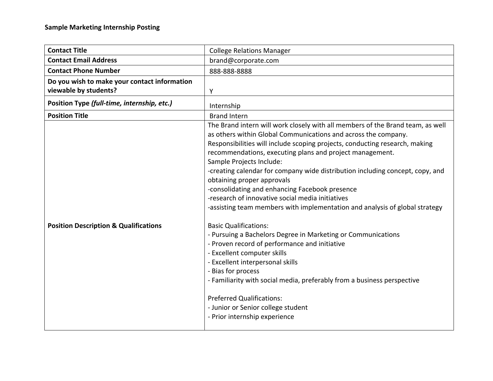| <b>Contact Title</b>                                                  | <b>College Relations Manager</b>                                                                                                                                                                                                                                                                                                                                                                                                                                                                                                                                                                                            |
|-----------------------------------------------------------------------|-----------------------------------------------------------------------------------------------------------------------------------------------------------------------------------------------------------------------------------------------------------------------------------------------------------------------------------------------------------------------------------------------------------------------------------------------------------------------------------------------------------------------------------------------------------------------------------------------------------------------------|
| <b>Contact Email Address</b>                                          | brand@corporate.com                                                                                                                                                                                                                                                                                                                                                                                                                                                                                                                                                                                                         |
| <b>Contact Phone Number</b>                                           | 888-888-8888                                                                                                                                                                                                                                                                                                                                                                                                                                                                                                                                                                                                                |
| Do you wish to make your contact information<br>viewable by students? | Υ                                                                                                                                                                                                                                                                                                                                                                                                                                                                                                                                                                                                                           |
| Position Type (full-time, internship, etc.)                           | Internship                                                                                                                                                                                                                                                                                                                                                                                                                                                                                                                                                                                                                  |
| <b>Position Title</b>                                                 | <b>Brand Intern</b>                                                                                                                                                                                                                                                                                                                                                                                                                                                                                                                                                                                                         |
|                                                                       | The Brand intern will work closely with all members of the Brand team, as well<br>as others within Global Communications and across the company.<br>Responsibilities will include scoping projects, conducting research, making<br>recommendations, executing plans and project management.<br>Sample Projects Include:<br>-creating calendar for company wide distribution including concept, copy, and<br>obtaining proper approvals<br>-consolidating and enhancing Facebook presence<br>-research of innovative social media initiatives<br>-assisting team members with implementation and analysis of global strategy |
| <b>Position Description &amp; Qualifications</b>                      | <b>Basic Qualifications:</b><br>- Pursuing a Bachelors Degree in Marketing or Communications<br>- Proven record of performance and initiative<br>- Excellent computer skills<br>- Excellent interpersonal skills<br>- Bias for process<br>- Familiarity with social media, preferably from a business perspective<br><b>Preferred Qualifications:</b><br>- Junior or Senior college student<br>- Prior internship experience                                                                                                                                                                                                |